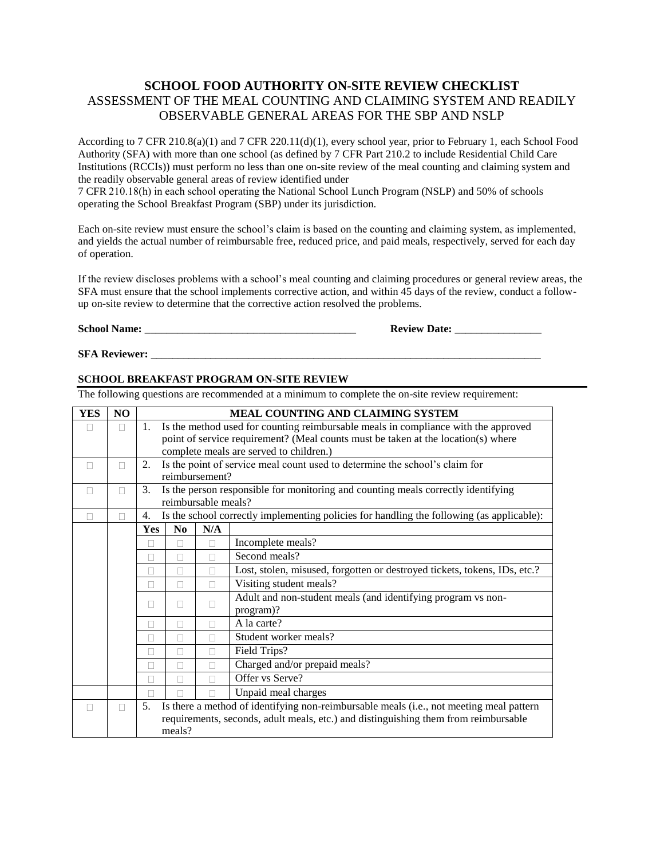#### **SCHOOL FOOD AUTHORITY ON-SITE REVIEW CHECKLIST** ASSESSMENT OF THE MEAL COUNTING AND CLAIMING SYSTEM AND READILY OBSERVABLE GENERAL AREAS FOR THE SBP AND NSLP

According to 7 CFR 210.8(a)(1) and 7 CFR 220.11(d)(1), every school year, prior to February 1, each School Food Authority (SFA) with more than one school (as defined by 7 CFR Part 210.2 to include Residential Child Care Institutions (RCCIs)) must perform no less than one on-site review of the meal counting and claiming system and the readily observable general areas of review identified under

7 CFR 210.18(h) in each school operating the National School Lunch Program (NSLP) and 50% of schools operating the School Breakfast Program (SBP) under its jurisdiction.

Each on-site review must ensure the school's claim is based on the counting and claiming system, as implemented, and yields the actual number of reimbursable free, reduced price, and paid meals, respectively, served for each day of operation.

If the review discloses problems with a school's meal counting and claiming procedures or general review areas, the SFA must ensure that the school implements corrective action, and within 45 days of the review, conduct a followup on-site review to determine that the corrective action resolved the problems.

**School Name:** \_\_\_\_\_\_\_\_\_\_\_\_\_\_\_\_\_\_\_\_\_\_\_\_\_\_\_\_\_\_\_\_\_\_\_\_\_\_\_ **Review Date:** \_\_\_\_\_\_\_\_\_\_\_\_\_\_\_\_

**SFA Reviewer:** \_\_\_\_\_\_\_\_\_\_\_\_\_\_\_\_\_\_\_\_\_\_\_\_\_\_\_\_\_\_\_\_\_\_\_\_\_\_\_\_\_\_\_\_\_\_\_\_\_\_\_\_\_\_\_\_\_\_\_\_\_\_\_\_\_\_\_\_\_\_\_\_

#### **SCHOOL BREAKFAST PROGRAM ON-SITE REVIEW**

The following questions are recommended at a minimum to complete the on-site review requirement:

| <b>YES</b> | N <sub>O</sub> | <b>MEAL COUNTING AND CLAIMING SYSTEM</b>                                                      |                                                                                   |                     |                                                                                           |  |  |
|------------|----------------|-----------------------------------------------------------------------------------------------|-----------------------------------------------------------------------------------|---------------------|-------------------------------------------------------------------------------------------|--|--|
| П          | П              | 1.<br>Is the method used for counting reimbursable meals in compliance with the approved      |                                                                                   |                     |                                                                                           |  |  |
|            |                |                                                                                               | point of service requirement? (Meal counts must be taken at the location(s) where |                     |                                                                                           |  |  |
|            |                |                                                                                               |                                                                                   |                     | complete meals are served to children.)                                                   |  |  |
| П          | П              | 2.                                                                                            |                                                                                   |                     | Is the point of service meal count used to determine the school's claim for               |  |  |
|            |                |                                                                                               |                                                                                   | reimbursement?      |                                                                                           |  |  |
| П          | П              | 3.                                                                                            |                                                                                   |                     | Is the person responsible for monitoring and counting meals correctly identifying         |  |  |
|            |                |                                                                                               |                                                                                   | reimbursable meals? |                                                                                           |  |  |
|            |                | 4.                                                                                            |                                                                                   |                     | Is the school correctly implementing policies for handling the following (as applicable): |  |  |
|            |                | <b>Yes</b>                                                                                    | N <sub>0</sub>                                                                    | N/A                 |                                                                                           |  |  |
|            |                |                                                                                               |                                                                                   |                     | Incomplete meals?                                                                         |  |  |
|            |                | П                                                                                             | П                                                                                 |                     | Second meals?                                                                             |  |  |
|            |                | П                                                                                             | П                                                                                 |                     | Lost, stolen, misused, forgotten or destroyed tickets, tokens, IDs, etc.?                 |  |  |
|            |                | П                                                                                             | Visiting student meals?<br>П<br>П                                                 |                     |                                                                                           |  |  |
|            |                |                                                                                               | Adult and non-student meals (and identifying program vs non-                      |                     |                                                                                           |  |  |
|            |                | П                                                                                             | П                                                                                 |                     | program)?                                                                                 |  |  |
|            |                | П                                                                                             | П                                                                                 |                     | A la carte?                                                                               |  |  |
|            |                | П                                                                                             | П                                                                                 |                     | Student worker meals?                                                                     |  |  |
|            |                | Ш                                                                                             | П                                                                                 |                     | Field Trips?                                                                              |  |  |
|            |                | П                                                                                             | П                                                                                 | П                   | Charged and/or prepaid meals?                                                             |  |  |
|            |                | П                                                                                             |                                                                                   |                     | Offer vs Serve?                                                                           |  |  |
|            |                | $\Box$                                                                                        |                                                                                   |                     | Unpaid meal charges                                                                       |  |  |
|            |                | Is there a method of identifying non-reimbursable meals (i.e., not meeting meal pattern<br>5. |                                                                                   |                     |                                                                                           |  |  |
|            |                | requirements, seconds, adult meals, etc.) and distinguishing them from reimbursable           |                                                                                   |                     |                                                                                           |  |  |
|            |                | meals?                                                                                        |                                                                                   |                     |                                                                                           |  |  |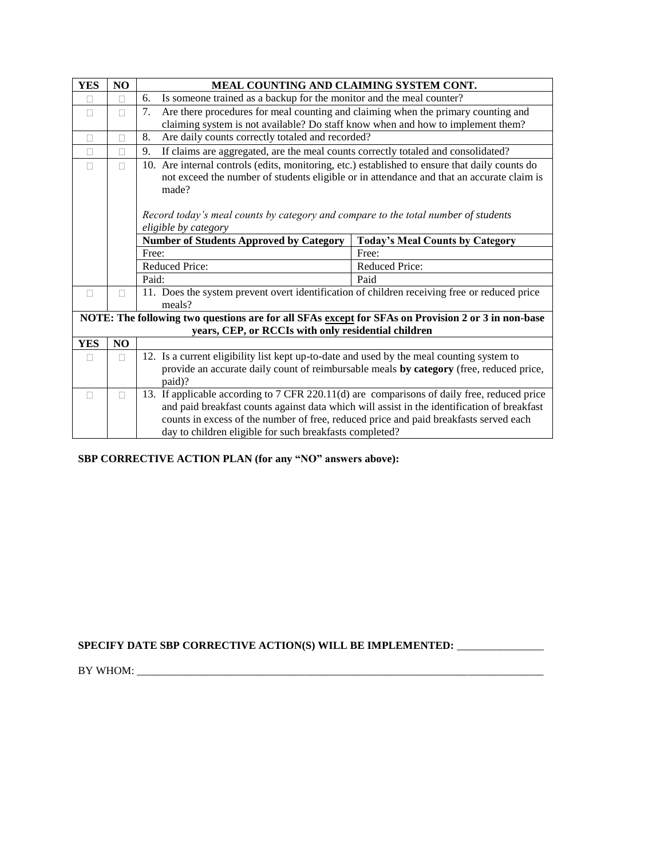| <b>YES</b> | NO           | MEAL COUNTING AND CLAIMING SYSTEM CONT.                                                            |                                                                                             |  |  |  |  |  |
|------------|--------------|----------------------------------------------------------------------------------------------------|---------------------------------------------------------------------------------------------|--|--|--|--|--|
| П          | П            | Is someone trained as a backup for the monitor and the meal counter?<br>6.                         |                                                                                             |  |  |  |  |  |
| П          | П            | Are there procedures for meal counting and claiming when the primary counting and<br>7.            |                                                                                             |  |  |  |  |  |
|            |              | claiming system is not available? Do staff know when and how to implement them?                    |                                                                                             |  |  |  |  |  |
| $\Box$     | П            | Are daily counts correctly totaled and recorded?<br>8.                                             |                                                                                             |  |  |  |  |  |
| П          | П            | If claims are aggregated, are the meal counts correctly totaled and consolidated?<br>9.            |                                                                                             |  |  |  |  |  |
| П          | П            | 10. Are internal controls (edits, monitoring, etc.) established to ensure that daily counts do     |                                                                                             |  |  |  |  |  |
|            |              |                                                                                                    | not exceed the number of students eligible or in attendance and that an accurate claim is   |  |  |  |  |  |
|            |              | made?                                                                                              |                                                                                             |  |  |  |  |  |
|            |              |                                                                                                    |                                                                                             |  |  |  |  |  |
|            |              | Record today's meal counts by category and compare to the total number of students                 |                                                                                             |  |  |  |  |  |
|            |              | eligible by category                                                                               |                                                                                             |  |  |  |  |  |
|            |              | <b>Number of Students Approved by Category</b>                                                     | <b>Today's Meal Counts by Category</b>                                                      |  |  |  |  |  |
|            |              | Free:                                                                                              | Free:                                                                                       |  |  |  |  |  |
|            |              | Reduced Price:                                                                                     | Reduced Price:                                                                              |  |  |  |  |  |
|            |              | Paid:                                                                                              | Paid                                                                                        |  |  |  |  |  |
| П          | П            | 11. Does the system prevent overt identification of children receiving free or reduced price       |                                                                                             |  |  |  |  |  |
|            |              | meals?                                                                                             |                                                                                             |  |  |  |  |  |
|            |              | NOTE: The following two questions are for all SFAs except for SFAs on Provision 2 or 3 in non-base |                                                                                             |  |  |  |  |  |
|            |              | years, CEP, or RCCIs with only residential children                                                |                                                                                             |  |  |  |  |  |
| <b>YES</b> | NO           |                                                                                                    |                                                                                             |  |  |  |  |  |
|            | Ш            | 12. Is a current eligibility list kept up-to-date and used by the meal counting system to          |                                                                                             |  |  |  |  |  |
|            |              | provide an accurate daily count of reimbursable meals by category (free, reduced price,            |                                                                                             |  |  |  |  |  |
|            |              | paid)?                                                                                             |                                                                                             |  |  |  |  |  |
|            | $\mathbf{L}$ | 13. If applicable according to 7 CFR 220.11(d) are comparisons of daily free, reduced price        |                                                                                             |  |  |  |  |  |
|            |              |                                                                                                    | and paid breakfast counts against data which will assist in the identification of breakfast |  |  |  |  |  |
|            |              | counts in excess of the number of free, reduced price and paid breakfasts served each              |                                                                                             |  |  |  |  |  |
|            |              | day to children eligible for such breakfasts completed?                                            |                                                                                             |  |  |  |  |  |

### **SBP CORRECTIVE ACTION PLAN (for any "NO" answers above):**

#### **SPECIFY DATE SBP CORRECTIVE ACTION(S) WILL BE IMPLEMENTED:** \_\_\_\_\_\_\_\_\_\_\_\_\_\_\_\_

BY WHOM: \_\_\_\_\_\_\_\_\_\_\_\_\_\_\_\_\_\_\_\_\_\_\_\_\_\_\_\_\_\_\_\_\_\_\_\_\_\_\_\_\_\_\_\_\_\_\_\_\_\_\_\_\_\_\_\_\_\_\_\_\_\_\_\_\_\_\_\_\_\_\_\_\_\_\_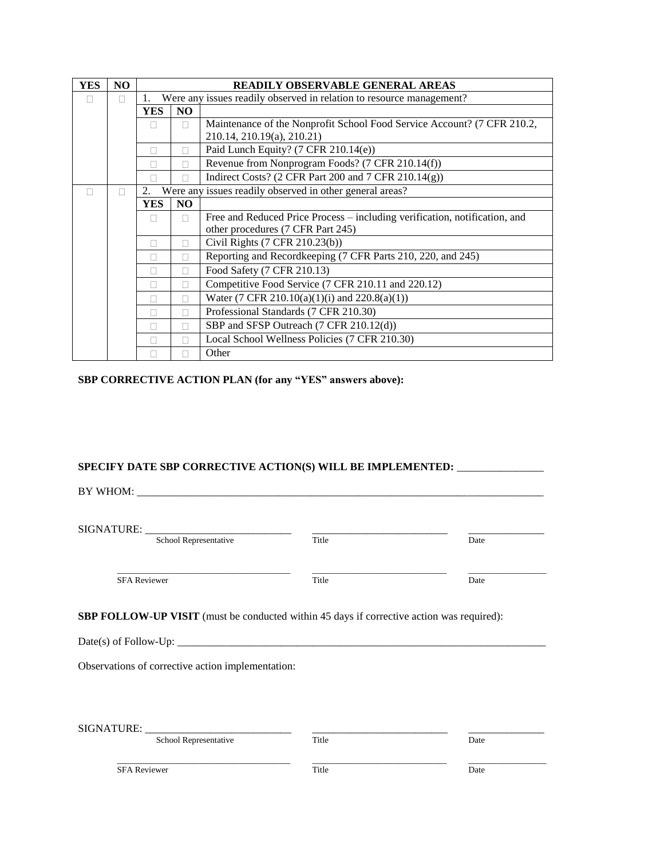| <b>YES</b> | N <sub>O</sub> | <b>READILY OBSERVABLE GENERAL AREAS</b>                              |                |                                                                            |  |
|------------|----------------|----------------------------------------------------------------------|----------------|----------------------------------------------------------------------------|--|
|            |                | Were any issues readily observed in relation to resource management? |                |                                                                            |  |
|            |                | N <sub>O</sub><br><b>YES</b>                                         |                |                                                                            |  |
|            |                | П<br>П                                                               |                | Maintenance of the Nonprofit School Food Service Account? (7 CFR 210.2,    |  |
|            |                |                                                                      |                | 210.14, 210.19(a), 210.21)                                                 |  |
|            |                |                                                                      |                | Paid Lunch Equity? (7 CFR 210.14(e))                                       |  |
|            |                | П                                                                    | П              | Revenue from Nonprogram Foods? (7 CFR 210.14(f))                           |  |
|            |                |                                                                      |                | Indirect Costs? (2 CFR Part 200 and 7 CFR 210.14(g))                       |  |
|            |                | 2.                                                                   |                | Were any issues readily observed in other general areas?                   |  |
|            |                | <b>YES</b>                                                           | N <sub>O</sub> |                                                                            |  |
|            |                | $\mathbf{L}$                                                         | п              | Free and Reduced Price Process – including verification, notification, and |  |
|            |                |                                                                      |                | other procedures (7 CFR Part 245)                                          |  |
|            |                | П                                                                    | П              | Civil Rights (7 CFR 210.23(b))                                             |  |
|            |                | П                                                                    |                | Reporting and Recordkeeping (7 CFR Parts 210, 220, and 245)                |  |
|            |                |                                                                      |                | Food Safety (7 CFR 210.13)                                                 |  |
|            |                | П                                                                    | П              | Competitive Food Service (7 CFR 210.11 and 220.12)                         |  |
|            |                |                                                                      | П              | Water (7 CFR 210.10(a)(1)(i) and $220.8(a)(1)$ )                           |  |
|            |                |                                                                      |                | Professional Standards (7 CFR 210.30)                                      |  |
|            |                | П                                                                    | П              | SBP and SFSP Outreach (7 CFR 210.12(d))                                    |  |
|            |                |                                                                      |                | Local School Wellness Policies (7 CFR 210.30)                              |  |
|            |                |                                                                      |                | Other                                                                      |  |

#### **SBP CORRECTIVE ACTION PLAN (for any "YES" answers above):**

# **SPECIFY DATE SBP CORRECTIVE ACTION(S) WILL BE IMPLEMENTED:** \_\_\_\_\_\_\_\_\_\_\_\_\_\_\_\_

BY WHOM: \_\_\_\_\_\_\_\_\_\_\_\_\_\_\_\_\_\_\_\_\_\_\_\_\_\_\_\_\_\_\_\_\_\_\_\_\_\_\_\_\_\_\_\_\_\_\_\_\_\_\_\_\_\_\_\_\_\_\_\_\_\_\_\_\_\_\_\_\_\_\_\_\_\_\_

SIGNATURE: \_\_\_\_\_\_\_\_\_\_\_\_\_\_\_\_\_\_\_\_\_\_\_\_\_\_\_ \_\_\_\_\_\_\_\_\_\_\_\_\_\_\_\_\_\_\_\_\_\_\_\_\_ \_\_\_\_\_\_\_\_\_\_\_\_\_\_

School Representative Title Date

SFA Reviewer Date

\_\_\_\_\_\_\_\_\_\_\_\_\_\_\_\_\_\_\_\_\_\_\_\_\_\_\_\_\_\_\_\_\_\_\_\_\_\_\_\_ \_\_\_\_\_\_\_\_\_\_\_\_\_\_\_\_\_\_\_\_\_\_\_\_\_\_\_\_\_\_\_ \_\_\_\_\_\_\_\_\_\_\_\_\_\_\_\_\_\_

**SBP FOLLOW-UP VISIT** (must be conducted within 45 days if corrective action was required):

Date(s) of Follow-Up: \_\_\_\_\_\_\_\_\_\_\_\_\_\_\_\_\_\_\_\_\_\_\_\_\_\_\_\_\_\_\_\_\_\_\_\_\_\_\_\_\_\_\_\_\_\_\_\_\_\_\_\_\_\_\_\_\_\_\_\_\_\_\_\_\_\_\_\_

Observations of corrective action implementation:

| SIGNATURE:          | School Representative | Title | Date |  |
|---------------------|-----------------------|-------|------|--|
| <b>SFA Reviewer</b> |                       | Title | Date |  |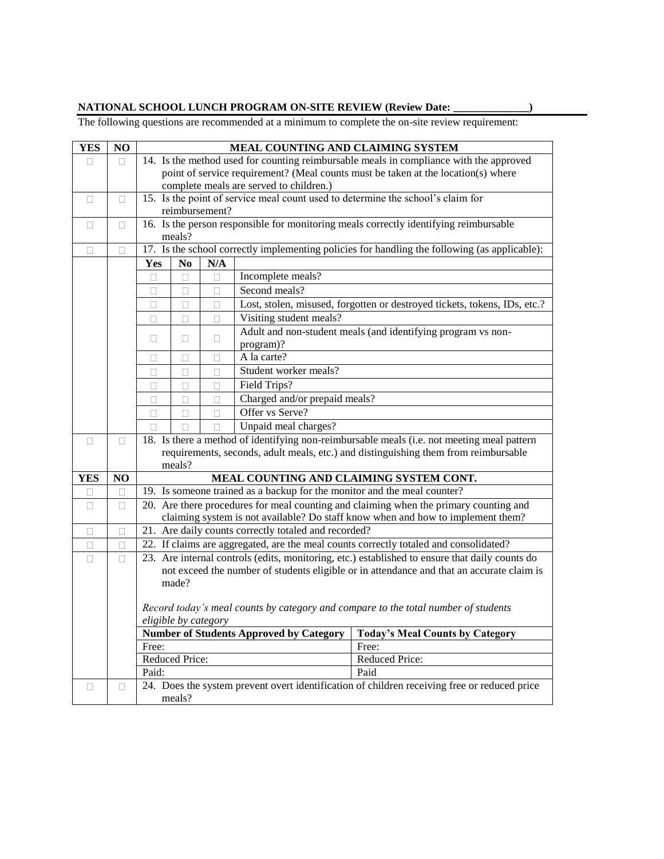#### **NATIONAL SCHOOL LUNCH PROGRAM ON-SITE REVIEW (Review Date: \_\_\_\_\_\_\_\_\_\_\_\_\_\_)**

The following questions are recommended at a minimum to complete the on-site review requirement:

| <b>YES</b> | NO     | MEAL COUNTING AND CLAIMING SYSTEM                                                                                                                                                           |                                                                                            |                |                                                                          |                                                                                                                                                                          |
|------------|--------|---------------------------------------------------------------------------------------------------------------------------------------------------------------------------------------------|--------------------------------------------------------------------------------------------|----------------|--------------------------------------------------------------------------|--------------------------------------------------------------------------------------------------------------------------------------------------------------------------|
| П          | П.     | 14. Is the method used for counting reimbursable meals in compliance with the approved                                                                                                      |                                                                                            |                |                                                                          |                                                                                                                                                                          |
|            |        | point of service requirement? (Meal counts must be taken at the location(s) where                                                                                                           |                                                                                            |                |                                                                          |                                                                                                                                                                          |
|            |        |                                                                                                                                                                                             |                                                                                            |                | complete meals are served to children.)                                  |                                                                                                                                                                          |
| $\Box$     | □      |                                                                                                                                                                                             |                                                                                            |                |                                                                          | 15. Is the point of service meal count used to determine the school's claim for                                                                                          |
|            |        |                                                                                                                                                                                             |                                                                                            | reimbursement? |                                                                          |                                                                                                                                                                          |
| $\Box$     | $\Box$ |                                                                                                                                                                                             |                                                                                            |                |                                                                          | 16. Is the person responsible for monitoring meals correctly identifying reimbursable                                                                                    |
|            |        |                                                                                                                                                                                             | meals?                                                                                     |                |                                                                          |                                                                                                                                                                          |
| П          | П      |                                                                                                                                                                                             |                                                                                            |                |                                                                          | 17. Is the school correctly implementing policies for handling the following (as applicable):                                                                            |
|            |        | Yes                                                                                                                                                                                         | N <sub>0</sub>                                                                             | N/A            |                                                                          |                                                                                                                                                                          |
|            |        | $\Box$                                                                                                                                                                                      | Incomplete meals?<br>$\Box$<br>□                                                           |                |                                                                          |                                                                                                                                                                          |
|            |        | $\Box$                                                                                                                                                                                      | □                                                                                          | $\Box$         | Second meals?                                                            |                                                                                                                                                                          |
|            |        | $\Box$                                                                                                                                                                                      | $\Box$                                                                                     | $\Box$         |                                                                          | Lost, stolen, misused, forgotten or destroyed tickets, tokens, IDs, etc.?                                                                                                |
|            |        | $\Box$                                                                                                                                                                                      | □                                                                                          | $\Box$         | Visiting student meals?                                                  |                                                                                                                                                                          |
|            |        | $\Box$                                                                                                                                                                                      | $\Box$                                                                                     | $\Box$         |                                                                          | Adult and non-student meals (and identifying program vs non-                                                                                                             |
|            |        |                                                                                                                                                                                             |                                                                                            |                | program)?                                                                |                                                                                                                                                                          |
|            |        | П                                                                                                                                                                                           | П                                                                                          | □              | A la carte?                                                              |                                                                                                                                                                          |
|            |        | □                                                                                                                                                                                           | □                                                                                          | □              | Student worker meals?                                                    |                                                                                                                                                                          |
|            |        | П                                                                                                                                                                                           | $\Box$                                                                                     | $\Box$         | Field Trips?                                                             |                                                                                                                                                                          |
|            |        | $\Box$                                                                                                                                                                                      | $\Box$                                                                                     | $\Box$         | Charged and/or prepaid meals?                                            |                                                                                                                                                                          |
|            |        | П                                                                                                                                                                                           | П                                                                                          | П              | Offer vs Serve?                                                          |                                                                                                                                                                          |
|            |        |                                                                                                                                                                                             |                                                                                            |                | Unpaid meal charges?                                                     |                                                                                                                                                                          |
| П          | П      |                                                                                                                                                                                             | 18. Is there a method of identifying non-reimbursable meals (i.e. not meeting meal pattern |                |                                                                          |                                                                                                                                                                          |
|            |        |                                                                                                                                                                                             | requirements, seconds, adult meals, etc.) and distinguishing them from reimbursable        |                |                                                                          |                                                                                                                                                                          |
|            |        |                                                                                                                                                                                             | meals?                                                                                     |                |                                                                          |                                                                                                                                                                          |
| YES        | NO     |                                                                                                                                                                                             |                                                                                            |                | 19. Is someone trained as a backup for the monitor and the meal counter? | MEAL COUNTING AND CLAIMING SYSTEM CONT.                                                                                                                                  |
| П          | □      |                                                                                                                                                                                             |                                                                                            |                |                                                                          |                                                                                                                                                                          |
| $\Box$     | $\Box$ |                                                                                                                                                                                             |                                                                                            |                |                                                                          | 20. Are there procedures for meal counting and claiming when the primary counting and<br>claiming system is not available? Do staff know when and how to implement them? |
| $\Box$     | □      |                                                                                                                                                                                             |                                                                                            |                | 21. Are daily counts correctly totaled and recorded?                     |                                                                                                                                                                          |
| П          | □      |                                                                                                                                                                                             |                                                                                            |                |                                                                          | 22. If claims are aggregated, are the meal counts correctly totaled and consolidated?                                                                                    |
| $\Box$     | П      |                                                                                                                                                                                             |                                                                                            |                |                                                                          |                                                                                                                                                                          |
|            |        | 23. Are internal controls (edits, monitoring, etc.) established to ensure that daily counts do<br>not exceed the number of students eligible or in attendance and that an accurate claim is |                                                                                            |                |                                                                          |                                                                                                                                                                          |
|            |        |                                                                                                                                                                                             | made?                                                                                      |                |                                                                          |                                                                                                                                                                          |
|            |        |                                                                                                                                                                                             |                                                                                            |                |                                                                          |                                                                                                                                                                          |
|            |        |                                                                                                                                                                                             |                                                                                            |                |                                                                          | Record today's meal counts by category and compare to the total number of students                                                                                       |
|            |        | eligible by category                                                                                                                                                                        |                                                                                            |                |                                                                          |                                                                                                                                                                          |
|            |        |                                                                                                                                                                                             |                                                                                            |                | <b>Number of Students Approved by Category</b>                           | <b>Today's Meal Counts by Category</b>                                                                                                                                   |
|            |        | Free:                                                                                                                                                                                       |                                                                                            |                |                                                                          | Free:                                                                                                                                                                    |
|            |        | Reduced Price:                                                                                                                                                                              |                                                                                            |                |                                                                          | Reduced Price:                                                                                                                                                           |
|            |        | Paid:                                                                                                                                                                                       |                                                                                            |                |                                                                          | Paid                                                                                                                                                                     |
| □          | $\Box$ |                                                                                                                                                                                             |                                                                                            |                |                                                                          | 24. Does the system prevent overt identification of children receiving free or reduced price                                                                             |
|            |        |                                                                                                                                                                                             | meals?                                                                                     |                |                                                                          |                                                                                                                                                                          |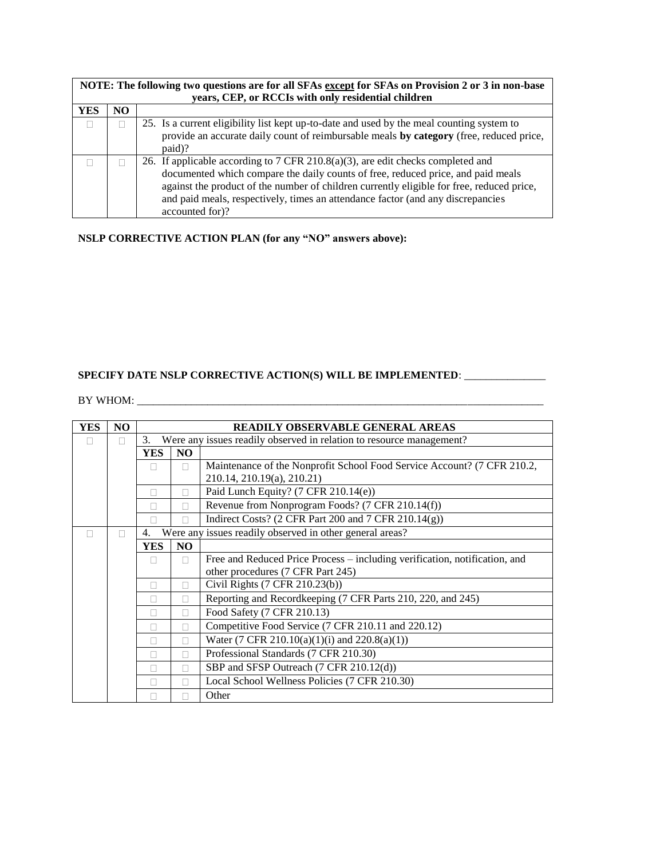|            | NOTE: The following two questions are for all SFAs except for SFAs on Provision 2 or 3 in non-base |                                                                                                                                                                                                                                                                                                                                                                        |  |  |  |  |  |  |  |
|------------|----------------------------------------------------------------------------------------------------|------------------------------------------------------------------------------------------------------------------------------------------------------------------------------------------------------------------------------------------------------------------------------------------------------------------------------------------------------------------------|--|--|--|--|--|--|--|
|            | years, CEP, or RCCIs with only residential children                                                |                                                                                                                                                                                                                                                                                                                                                                        |  |  |  |  |  |  |  |
| <b>YES</b> | NO                                                                                                 |                                                                                                                                                                                                                                                                                                                                                                        |  |  |  |  |  |  |  |
|            |                                                                                                    | 25. Is a current eligibility list kept up-to-date and used by the meal counting system to<br>provide an accurate daily count of reimbursable meals by category (free, reduced price,<br>paid)?                                                                                                                                                                         |  |  |  |  |  |  |  |
|            |                                                                                                    | 26. If applicable according to 7 CFR 210.8(a)(3), are edit checks completed and<br>documented which compare the daily counts of free, reduced price, and paid meals<br>against the product of the number of children currently eligible for free, reduced price,<br>and paid meals, respectively, times an attendance factor (and any discrepancies<br>accounted for)? |  |  |  |  |  |  |  |

**NSLP CORRECTIVE ACTION PLAN (for any "NO" answers above):**

# **SPECIFY DATE NSLP CORRECTIVE ACTION(S) WILL BE IMPLEMENTED**: \_\_\_\_\_\_\_\_\_\_\_\_\_\_\_

BY WHOM: \_\_\_\_\_\_\_\_\_\_\_\_\_\_\_\_\_\_\_\_\_\_\_\_\_\_\_\_\_\_\_\_\_\_\_\_\_\_\_\_\_\_\_\_\_\_\_\_\_\_\_\_\_\_\_\_\_\_\_\_\_\_\_\_\_\_\_\_\_\_\_\_\_\_\_

| <b>YES</b> | NO. | <b>READILY OBSERVABLE GENERAL AREAS</b>                                    |                |                                                                            |  |
|------------|-----|----------------------------------------------------------------------------|----------------|----------------------------------------------------------------------------|--|
|            |     | Were any issues readily observed in relation to resource management?<br>3. |                |                                                                            |  |
|            |     | <b>YES</b>                                                                 | N <sub>O</sub> |                                                                            |  |
|            |     | $\mathbf{L}$                                                               | П              | Maintenance of the Nonprofit School Food Service Account? (7 CFR 210.2,    |  |
|            |     |                                                                            |                | 210.14, 210.19(a), 210.21)                                                 |  |
|            |     |                                                                            |                | Paid Lunch Equity? (7 CFR 210.14(e))                                       |  |
|            |     |                                                                            |                | Revenue from Nonprogram Foods? (7 CFR 210.14(f))                           |  |
|            |     | П                                                                          | П              | Indirect Costs? (2 CFR Part 200 and 7 CFR 210.14(g))                       |  |
|            |     | 4.                                                                         |                | Were any issues readily observed in other general areas?                   |  |
|            |     | <b>YES</b>                                                                 | N <sub>O</sub> |                                                                            |  |
|            |     | $\mathbf{L}$                                                               | П              | Free and Reduced Price Process - including verification, notification, and |  |
|            |     |                                                                            |                | other procedures (7 CFR Part 245)                                          |  |
|            |     | П                                                                          | П              | Civil Rights (7 CFR 210.23(b))                                             |  |
|            |     | П                                                                          |                | Reporting and Recordkeeping (7 CFR Parts 210, 220, and 245)                |  |
|            |     | П                                                                          | П              | Food Safety (7 CFR 210.13)                                                 |  |
|            |     |                                                                            | П              | Competitive Food Service (7 CFR 210.11 and 220.12)                         |  |
|            |     | п                                                                          | П              | Water (7 CFR 210.10(a)(1)(i) and 220.8(a)(1))                              |  |
|            |     | П                                                                          | П              | Professional Standards (7 CFR 210.30)                                      |  |
|            |     | П                                                                          |                | SBP and SFSP Outreach (7 CFR 210.12(d))                                    |  |
|            |     |                                                                            |                | Local School Wellness Policies (7 CFR 210.30)                              |  |
|            |     |                                                                            |                | Other                                                                      |  |